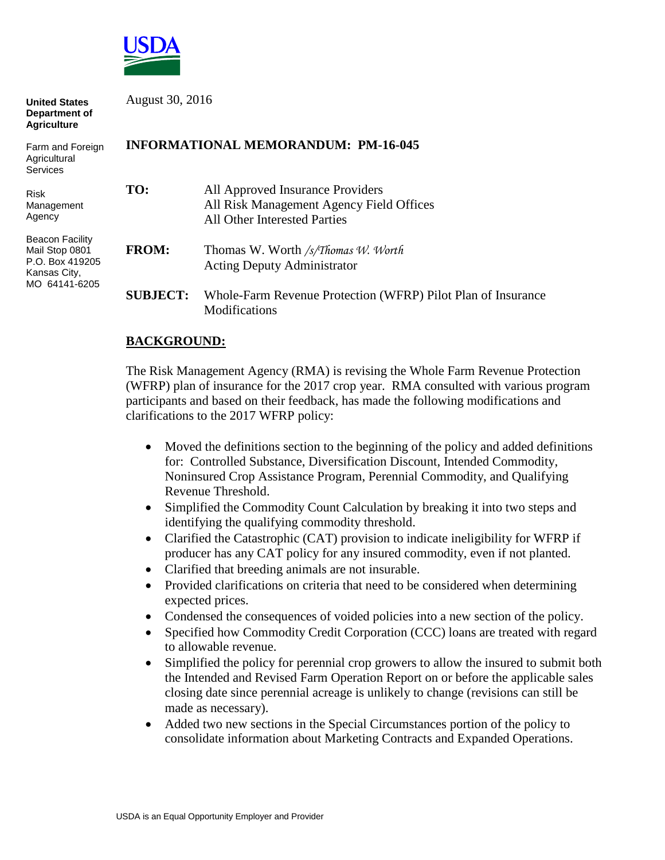

| <b>United States</b><br><b>Department of</b><br><b>Agriculture</b>                           | August 30, 2016<br><b>INFORMATIONAL MEMORANDUM: PM-16-045</b> |                                                                                                                     |
|----------------------------------------------------------------------------------------------|---------------------------------------------------------------|---------------------------------------------------------------------------------------------------------------------|
| Farm and Foreign<br>Agricultural<br><b>Services</b>                                          |                                                               |                                                                                                                     |
| <b>Risk</b><br>Management<br>Agency                                                          | TO:                                                           | All Approved Insurance Providers<br>All Risk Management Agency Field Offices<br><b>All Other Interested Parties</b> |
| <b>Beacon Facility</b><br>Mail Stop 0801<br>P.O. Box 419205<br>Kansas City,<br>MO 64141-6205 | <b>FROM:</b>                                                  | Thomas W. Worth /s/Thomas W. Worth<br><b>Acting Deputy Administrator</b>                                            |
|                                                                                              | <b>SUBJECT:</b>                                               | Whole-Farm Revenue Protection (WFRP) Pilot Plan of Insurance<br>Modifications                                       |

## **BACKGROUND:**

The Risk Management Agency (RMA) is revising the Whole Farm Revenue Protection (WFRP) plan of insurance for the 2017 crop year. RMA consulted with various program participants and based on their feedback, has made the following modifications and clarifications to the 2017 WFRP policy:

- Moved the definitions section to the beginning of the policy and added definitions for: Controlled Substance, Diversification Discount, Intended Commodity, Noninsured Crop Assistance Program, Perennial Commodity, and Qualifying Revenue Threshold.
- Simplified the Commodity Count Calculation by breaking it into two steps and identifying the qualifying commodity threshold.
- Clarified the Catastrophic (CAT) provision to indicate ineligibility for WFRP if producer has any CAT policy for any insured commodity, even if not planted.
- Clarified that breeding animals are not insurable.
- Provided clarifications on criteria that need to be considered when determining expected prices.
- Condensed the consequences of voided policies into a new section of the policy.
- Specified how Commodity Credit Corporation (CCC) loans are treated with regard to allowable revenue.
- Simplified the policy for perennial crop growers to allow the insured to submit both the Intended and Revised Farm Operation Report on or before the applicable sales closing date since perennial acreage is unlikely to change (revisions can still be made as necessary).
- Added two new sections in the Special Circumstances portion of the policy to consolidate information about Marketing Contracts and Expanded Operations.